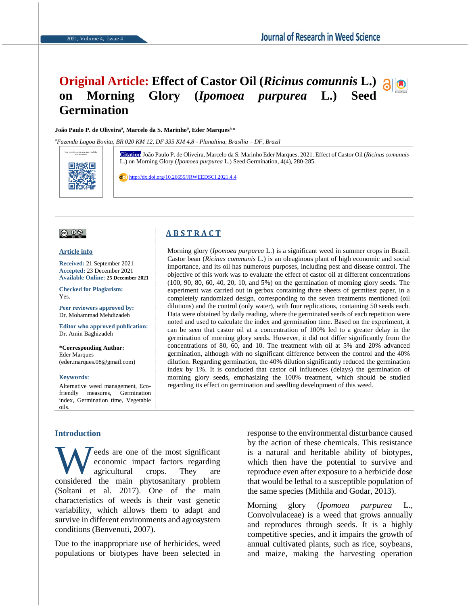# **Original Article: Effect of Castor Oil (***Ricinus comunnis* **L.) on Morning Glory (***Ipomoea purpurea* **L.) Seed Germination**

#### **João Paulo P. de Oliveira<sup>a</sup> , Marcelo da S. Marinho<sup>a</sup> , Eder Marquesa,\***

*<sup>a</sup>Fazenda Lagoa Bonita, BR 020 KM 12, DF 335 KM 4,8 - Planaltina, Brasília – DF, Brazil*



article online **Citation** João Paulo P. de Oliveira, Marcelo da S. Marinho Eder Marques. 2021. Effect of Castor Oil (*Ricinus comunnis* L.) on Morning Glory (*Ipomoea purpurea* L.) Seed Germination, 4(4), 280-285.

<http://dx.doi.org/10.26655/JRWEEDSCI.2021.4.4>

**A B S T R A C T**

### $\circledcirc$  0  $\circledcirc$

**Article info**

**Received:** 21 September 2021 **Accepted:** 23 December 2021 **Available Online: 25 December 2021**

**Checked for Plagiarism:**  Yes.

**Peer reviewers approved by:**  Dr. Mohammad Mehdizadeh

**Editor who approved publication:** Dr. Amin Baghizadeh

**\*Corresponding Author:** Eder Marques (eder.marques.08@gmail.com)

**Keywords**:

Alternative weed management, Ecofriendly measures, Germination index, Germination time, Vegetable oils.

#### **Introduction**

eeds are one of the most significant economic impact factors regarding agricultural crops. They are Weeds are one of the most significant<br>economic impact factors regarding<br>agricultural crops. They are<br>considered the main phytosanitary problem (Soltani et al. 2017). One of the main characteristics of weeds is their vast genetic variability, which allows them to adapt and survive in different environments and agrosystem conditions (Benvenuti, 2007).

Due to the inappropriate use of herbicides, weed populations or biotypes have been selected in

Castor bean (*Ricinus communis* L.) is an oleaginous plant of high economic and social importance, and its oil has numerous purposes, including pest and disease control. The objective of this work was to evaluate the effect of castor oil at different concentrations (100, 90, 80, 60, 40, 20, 10, and 5%) on the germination of morning glory seeds. The experiment was carried out in gerbox containing three sheets of germitest paper, in a completely randomized design, corresponding to the seven treatments mentioned (oil dilutions) and the control (only water), with four replications, containing 50 seeds each. Data were obtained by daily reading, where the germinated seeds of each repetition were noted and used to calculate the index and germination time. Based on the experiment, it can be seen that castor oil at a concentration of 100% led to a greater delay in the germination of morning glory seeds. However, it did not differ significantly from the concentrations of 80, 60, and 10. The treatment with oil at 5% and 20% advanced germination, although with no significant difference between the control and the 40% dilution. Regarding germination, the 40% dilution significantly reduced the germination index by 1%. It is concluded that castor oil influences (delays) the germination of morning glory seeds, emphasizing the 100% treatment, which should be studied

regarding its effect on germination and seedling development of this weed.

Morning glory (*Ipomoea purpurea* L.) is a significant weed in summer crops in Brazil.

response to the environmental disturbance caused by the action of these chemicals. This resistance is a natural and heritable ability of biotypes, which then have the potential to survive and reproduce even after exposure to a herbicide dose that would be lethal to a susceptible population of the same species (Mithila and Godar, 2013).

Morning glory (*Ipomoea purpurea* L., Convolvulaceae) is a weed that grows annually and reproduces through seeds. It is a highly competitive species, and it impairs the growth of annual cultivated plants, such as rice, soybeans, and maize, making the harvesting operation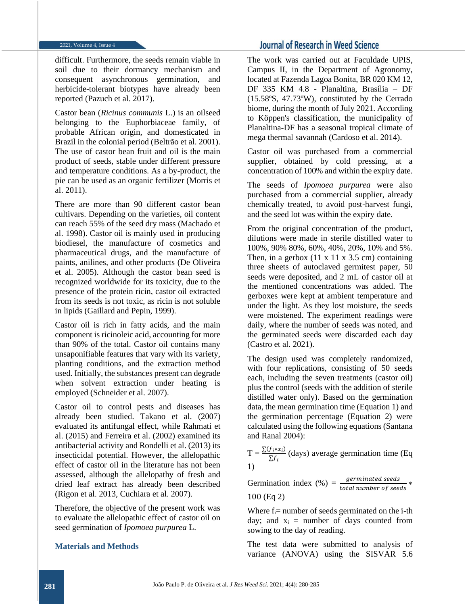difficult. Furthermore, the seeds remain viable in soil due to their dormancy mechanism and consequent asynchronous germination, and herbicide-tolerant biotypes have already been reported (Pazuch et al. 2017).

Castor bean (*Ricinus communis* L.) is an oilseed belonging to the Euphorbiaceae family, of probable African origin, and domesticated in Brazil in the colonial period (Beltrão et al. 2001). The use of castor bean fruit and oil is the main product of seeds, stable under different pressure and temperature conditions. As a by-product, the pie can be used as an organic fertilizer (Morris et al. 2011).

There are more than 90 different castor bean cultivars. Depending on the varieties, oil content can reach 55% of the seed dry mass (Machado et al. 1998). Castor oil is mainly used in producing biodiesel, the manufacture of cosmetics and pharmaceutical drugs, and the manufacture of paints, anilines, and other products (De Oliveira et al. 2005). Although the castor bean seed is recognized worldwide for its toxicity, due to the presence of the protein ricin, castor oil extracted from its seeds is not toxic, as ricin is not soluble in lipids (Gaillard and Pepin, 1999).

Castor oil is rich in fatty acids, and the main component is ricinoleic acid, accounting for more than 90% of the total. Castor oil contains many unsaponifiable features that vary with its variety, planting conditions, and the extraction method used. Initially, the substances present can degrade when solvent extraction under heating is employed (Schneider et al. 2007).

Castor oil to control pests and diseases has already been studied. Takano et al. (2007) evaluated its antifungal effect, while Rahmati et al. (2015) and Ferreira et al. (2002) examined its antibacterial activity and Rondelli et al. (2013) its insecticidal potential. However, the allelopathic effect of castor oil in the literature has not been assessed, although the allelopathy of fresh and dried leaf extract has already been described (Rigon et al. 2013, Cuchiara et al. 2007).

Therefore, the objective of the present work was to evaluate the allelopathic effect of castor oil on seed germination of *Ipomoea purpurea* L.

#### **Materials and Methods**

# **Journal of Research in Weed Science**

The work was carried out at Faculdade UPIS, Campus II, in the Department of Agronomy, located at Fazenda Lagoa Bonita, BR 020 KM 12, DF 335 KM 4.8 - Planaltina, Brasília – DF (15.58ºS, 47.73ºW), constituted by the Cerrado biome, during the month of July 2021. According to Köppen's classification, the municipality of Planaltina-DF has a seasonal tropical climate of mega thermal savannah (Cardoso et al. 2014).

Castor oil was purchased from a commercial supplier, obtained by cold pressing, at a concentration of 100% and within the expiry date.

The seeds of *Ipomoea purpurea* were also purchased from a commercial supplier, already chemically treated, to avoid post-harvest fungi, and the seed lot was within the expiry date.

From the original concentration of the product, dilutions were made in sterile distilled water to 100%, 90% 80%, 60%, 40%, 20%, 10% and 5%. Then, in a gerbox  $(11 \times 11 \times 3.5 \text{ cm})$  containing three sheets of autoclaved germitest paper, 50 seeds were deposited, and 2 mL of castor oil at the mentioned concentrations was added. The gerboxes were kept at ambient temperature and under the light. As they lost moisture, the seeds were moistened. The experiment readings were daily, where the number of seeds was noted, and the germinated seeds were discarded each day (Castro et al. 2021).

The design used was completely randomized, with four replications, consisting of 50 seeds each, including the seven treatments (castor oil) plus the control (seeds with the addition of sterile distilled water only). Based on the germination data, the mean germination time (Equation 1) and the germination percentage (Equation 2) were calculated using the following equations (Santana and Ranal 2004):

 $T = \frac{\sum (f_i * x_i)}{\sum f_i}$  $\frac{\sum f_i \times \sum f_i}{\sum f_i}$  (days) average germination time (Eq. 1)

Germination index  $(\%) = \frac{germinated \, seeds}{total \, number \, of \, seeds}$ ∗ 100 (Eq 2)

Where  $f_i$ = number of seeds germinated on the *i*-th day; and  $x_i$  = number of days counted from sowing to the day of reading.

The test data were submitted to analysis of variance (ANOVA) using the SISVAR 5.6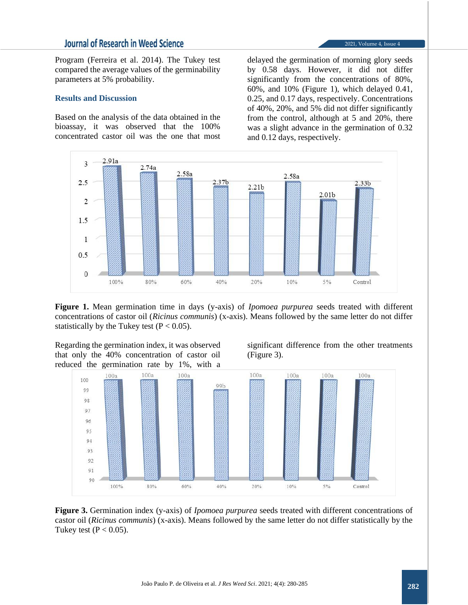# **Journal of Research in Weed Science**

Program (Ferreira et al. 2014). The Tukey test compared the average values of the germinability parameters at 5% probability.

#### **Results and Discussion**

Based on the analysis of the data obtained in the bioassay, it was observed that the 100% concentrated castor oil was the one that most

delayed the germination of morning glory seeds by 0.58 days. However, it did not differ significantly from the concentrations of 80%, 60%, and 10% (Figure 1), which delayed 0.41, 0.25, and 0.17 days, respectively. Concentrations of 40%, 20%, and 5% did not differ significantly from the control, although at 5 and 20%, there was a slight advance in the germination of 0.32 and 0.12 days, respectively.



**Figure 1.** Mean germination time in days (y-axis) of *Ipomoea purpurea* seeds treated with different concentrations of castor oil (*Ricinus communis*) (x-axis). Means followed by the same letter do not differ statistically by the Tukey test  $(P < 0.05)$ .

Regarding the germination index, it was observed that only the 40% concentration of castor oil reduced the germination rate by 1%, with a

significant difference from the other treatments (Figure 3).



**Figure 3.** Germination index (y-axis) of *Ipomoea purpurea* seeds treated with different concentrations of castor oil (*Ricinus communis*) (x-axis). Means followed by the same letter do not differ statistically by the Tukey test ( $P < 0.05$ ).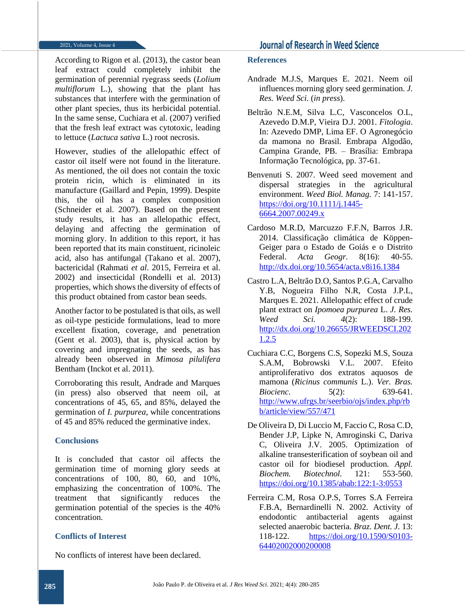According to Rigon et al. (2013), the castor bean leaf extract could completely inhibit the germination of perennial ryegrass seeds (*Lolium multiflorum* L.), showing that the plant has substances that interfere with the germination of other plant species, thus its herbicidal potential. In the same sense, Cuchiara et al. (2007) verified that the fresh leaf extract was cytotoxic, leading to lettuce (*Lactuca sativa* L.) root necrosis.

However, studies of the allelopathic effect of castor oil itself were not found in the literature. As mentioned, the oil does not contain the toxic protein ricin, which is eliminated in its manufacture (Gaillard and Pepin, 1999). Despite this, the oil has a complex composition (Schneider et al. 2007). Based on the present study results, it has an allelopathic effect, delaying and affecting the germination of morning glory. In addition to this report, it has been reported that its main constituent, ricinoleic acid, also has antifungal (Takano et al. 2007), bactericidal (Rahmati *et al*. 2015, Ferreira et al. 2002) and insecticidal (Rondelli et al. 2013) properties, which shows the diversity of effects of this product obtained from castor bean seeds.

Another factor to be postulated is that oils, as well as oil-type pesticide formulations, lead to more excellent fixation, coverage, and penetration (Gent et al. 2003), that is, physical action by covering and impregnating the seeds, as has already been observed in *Mimosa pilulifera* Bentham (Inckot et al. 2011).

Corroborating this result, Andrade and Marques (in press) also observed that neem oil, at concentrations of 45, 65, and 85%, delayed the germination of *I. purpurea*, while concentrations of 45 and 85% reduced the germinative index.

### **Conclusions**

It is concluded that castor oil affects the germination time of morning glory seeds at concentrations of 100, 80, 60, and 10%, emphasizing the concentration of 100%. The treatment that significantly reduces the germination potential of the species is the 40% concentration.

## **Conflicts of Interest**

No conflicts of interest have been declared.

#### **References**

- Andrade M.J.S, Marques E. 2021. Neem oil influences morning glory seed germination. *J. Res. Weed Sci.* (*in press*).
- Beltrão N.E.M, Silva L.C, Vasconcelos O.L, Azevedo D.M.P, Vieira D.J. 2001. *Fitologia*. In: Azevedo DMP, Lima EF. O Agronegócio da mamona no Brasil. Embrapa Algodão, Campina Grande, PB. – Brasília: Embrapa Informação Tecnológica, pp. 37-61.
- Benvenuti S. 2007. Weed seed movement and dispersal strategies in the agricultural environment. *Weed Biol. Manag.* 7: 141-157. [https://doi.org/10.1111/j.1445-](https://doi.org/10.1111/j.1445-6664.2007.00249.x) [6664.2007.00249.x](https://doi.org/10.1111/j.1445-6664.2007.00249.x)
- Cardoso M.R.D, Marcuzzo F.F.N, Barros J.R. 2014. Classificação climática de Köppen-Geiger para o Estado de Goiás e o Distrito Federal. *Acta Geogr.* 8(16): 40-55. <http://dx.doi.org/10.5654/acta.v8i16.1384>
- Castro L.A, Beltrão D.O, Santos P.G.A, Carvalho Y.B, Nogueira Filho N.R, Costa J.P.L, Marques E. 2021. Allelopathic effect of crude plant extract on *Ipomoea purpurea* L. *J. Res. Weed Sci. 4*(2): 188-199. [http://dx.doi.org/10.26655/JRWEEDSCI.202](http://dx.doi.org/10.26655/JRWEEDSCI.2021.2.5) [1.2.5](http://dx.doi.org/10.26655/JRWEEDSCI.2021.2.5)
- Cuchiara C.C, Borgens C.S, Sopezki M.S, Souza S.A.M, Bobrowski V.L. 2007. Efeito antiproliferativo dos extratos aquosos de mamona (*Ricinus communis* L.). *Ver. Bras. Biocienc.* 5(2): 639-641. [http://www.ufrgs.br/seerbio/ojs/index.php/rb](http://www.ufrgs.br/seerbio/ojs/index.php/rbb/article/view/557/471) [b/article/view/557/471](http://www.ufrgs.br/seerbio/ojs/index.php/rbb/article/view/557/471)
- De Oliveira D, Di Luccio M, Faccio C, Rosa C.D, Bender J.P, Lipke N, Amroginski C, Dariva C, Oliveira J.V. 2005. Optimization of alkaline transesterification of soybean oil and castor oil for biodiesel production. *Appl. Biochem. Biotechnol.* 121: 553-560. <https://doi.org/10.1385/abab:122:1-3:0553>
- Ferreira C.M, Rosa O.P.S, Torres S.A Ferreira F.B.A, Bernardinelli N. 2002. Activity of endodontic antibacterial agents against selected anaerobic bacteria. *Braz. Dent. J.* 13: 118-122. [https://doi.org/10.1590/S0103-](https://doi.org/10.1590/S0103-64402002000200008) [64402002000200008](https://doi.org/10.1590/S0103-64402002000200008)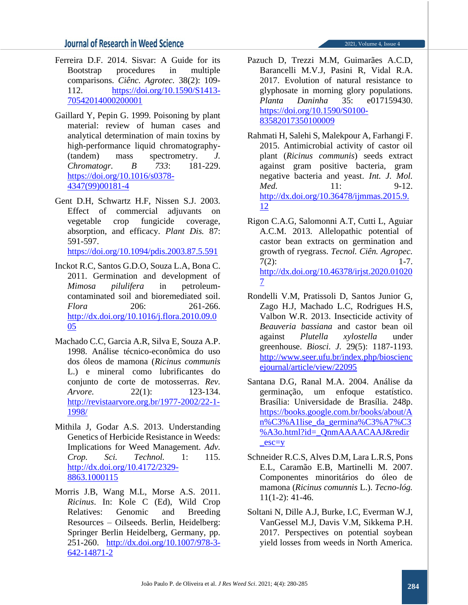# **Journal of Research in Weed Science**

- Ferreira D.F. 2014. Sisvar: A Guide for its Bootstrap procedures in multiple comparisons. *Ciênc. Agrotec.* 38(2): 109- 112. [https://doi.org/10.1590/S1413-](https://doi.org/10.1590/S1413-70542014000200001) [70542014000200001](https://doi.org/10.1590/S1413-70542014000200001)
- Gaillard Y, Pepin G. 1999. Poisoning by plant material: review of human cases and analytical determination of main toxins by high-performance liquid chromatography- (tandem) mass spectrometry. *J. Chromatogr. B 733*: 181-229. [https://doi.org/10.1016/s0378-](https://doi.org/10.1016/s0378-4347(99)00181-4) [4347\(99\)00181-4](https://doi.org/10.1016/s0378-4347(99)00181-4)
- Gent D.H, Schwartz H.F, Nissen S.J. 2003. Effect of commercial adjuvants on vegetable crop fungicide coverage, absorption, and efficacy. *Plant Dis.* 87: 591-597.

<https://doi.org/10.1094/pdis.2003.87.5.591>

- Inckot R.C, Santos G.D.O, Souza L.A, Bona C. 2011. Germination and development of *Mimosa pilulifera* in petroleumcontaminated soil and bioremediated soil. *Flora* 206: 261-266. [http://dx.doi.org/10.1016/j.flora.2010.09.0](http://dx.doi.org/10.1016/j.flora.2010.09.005) [05](http://dx.doi.org/10.1016/j.flora.2010.09.005)
- Machado C.C, Garcia A.R, Silva E, Souza A.P. 1998. Análise técnico-econômica do uso dos óleos de mamona (*Ricinus communis* L.) e mineral como lubrificantes do conjunto de corte de motosserras. *Rev. Arvore.* 22(1): 123-134. [http://revistaarvore.org.br/1977-2002/22-1-](http://revistaarvore.org.br/1977-2002/22-1-1998/) [1998/](http://revistaarvore.org.br/1977-2002/22-1-1998/)
- Mithila J, Godar A.S. 2013. Understanding Genetics of Herbicide Resistance in Weeds: Implications for Weed Management. *Adv. Crop. Sci. Technol.* 1: 115. [http://dx.doi.org/10.4172/2329-](http://dx.doi.org/10.4172/2329-8863.1000115) [8863.1000115](http://dx.doi.org/10.4172/2329-8863.1000115)
- Morris J.B, Wang M.L, Morse A.S. 2011. *Ricinus*. In: Kole C (Ed), Wild Crop Relatives: Genomic and Breeding Resources – Oilseeds. Berlin, Heidelberg: Springer Berlin Heidelberg, Germany, pp. 251-260. [http://dx.doi.org/10.1007/978-3-](http://dx.doi.org/10.1007/978-3-642-14871-2) [642-14871-2](http://dx.doi.org/10.1007/978-3-642-14871-2)
- Pazuch D, Trezzi M.M, Guimarães A.C.D, Barancelli M.V.J, Pasini R, Vidal R.A. 2017. Evolution of natural resistance to glyphosate in morning glory populations. *Planta Daninha* 35: e017159430. [https://doi.org/10.1590/S0100-](https://doi.org/10.1590/S0100-83582017350100009) [83582017350100009](https://doi.org/10.1590/S0100-83582017350100009)
- Rahmati H, Salehi S, Malekpour A, Farhangi F. 2015. Antimicrobial activity of castor oil plant (*Ricinus communis*) seeds extract against gram positive bacteria, gram negative bacteria and yeast. *Int. J. Mol. Med.* 11: 9-12. [http://dx.doi.org/10.36478/ijmmas.2015.9.](http://dx.doi.org/10.36478/ijmmas.2015.9.12) [12](http://dx.doi.org/10.36478/ijmmas.2015.9.12)
- Rigon C.A.G, Salomonni A.T, Cutti L, Aguiar A.C.M. 2013. Allelopathic potential of castor bean extracts on germination and growth of ryegrass. *Tecnol. Ciên. Agropec.*   $7(2)$ : 1-7. [http://dx.doi.org/10.46378/irjst.2020.01020](http://dx.doi.org/10.46378/irjst.2020.010207) [7](http://dx.doi.org/10.46378/irjst.2020.010207)
- Rondelli V.M, Pratissoli D, Santos Junior G, Zago H.J, Machado L.C, Rodrigues H.S, Valbon W.R. 2013. Insecticide activity of *Beauveria bassiana* and castor bean oil against *Plutella xylostella* under greenhouse. *Biosci. J.* 29(5): 1187-1193. [http://www.seer.ufu.br/index.php/bioscienc](http://www.seer.ufu.br/index.php/biosciencejournal/article/view/22095) [ejournal/article/view/22095](http://www.seer.ufu.br/index.php/biosciencejournal/article/view/22095)
- Santana D.G, Ranal M.A. 2004. Análise da germinação, um enfoque estatístico. Brasília: Universidade de Brasília. 248p. [https://books.google.com.br/books/about/A](https://books.google.com.br/books/about/An%C3%A1lise_da_germina%C3%A7%C3%A3o.html?id=_QnmAAAACAAJ&redir_esc=y) [n%C3%A1lise\\_da\\_germina%C3%A7%C3](https://books.google.com.br/books/about/An%C3%A1lise_da_germina%C3%A7%C3%A3o.html?id=_QnmAAAACAAJ&redir_esc=y) [%A3o.html?id=\\_QnmAAAACAAJ&redir](https://books.google.com.br/books/about/An%C3%A1lise_da_germina%C3%A7%C3%A3o.html?id=_QnmAAAACAAJ&redir_esc=y) [\\_esc=y](https://books.google.com.br/books/about/An%C3%A1lise_da_germina%C3%A7%C3%A3o.html?id=_QnmAAAACAAJ&redir_esc=y)
- Schneider R.C.S, Alves D.M, Lara L.R.S, Pons E.L, Caramão E.B, Martinelli M. 2007. Componentes minoritários do óleo de mamona (*Ricinus comunnis* L.). *Tecno-lóg.*  11(1-2): 41-46.
- Soltani N, Dille A.J, Burke, I.C, Everman W.J, VanGessel M.J, Davis V.M, Sikkema P.H. 2017. Perspectives on potential soybean yield losses from weeds in North America.